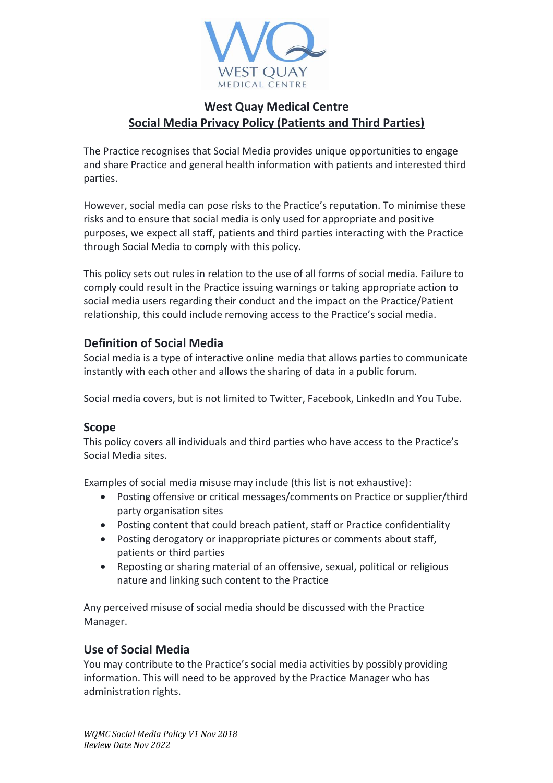

# **West Quay Medical Centre Social Media Privacy Policy (Patients and Third Parties)**

The Practice recognises that Social Media provides unique opportunities to engage and share Practice and general health information with patients and interested third parties.

However, social media can pose risks to the Practice's reputation. To minimise these risks and to ensure that social media is only used for appropriate and positive purposes, we expect all staff, patients and third parties interacting with the Practice through Social Media to comply with this policy.

This policy sets out rules in relation to the use of all forms of social media. Failure to comply could result in the Practice issuing warnings or taking appropriate action to social media users regarding their conduct and the impact on the Practice/Patient relationship, this could include removing access to the Practice's social media.

### **Definition of Social Media**

Social media is a type of interactive online media that allows parties to communicate instantly with each other and allows the sharing of data in a public forum.

Social media covers, but is not limited to Twitter, Facebook, LinkedIn and You Tube.

#### **Scope**

This policy covers all individuals and third parties who have access to the Practice's Social Media sites.

Examples of social media misuse may include (this list is not exhaustive):

- Posting offensive or critical messages/comments on Practice or supplier/third party organisation sites
- Posting content that could breach patient, staff or Practice confidentiality
- Posting derogatory or inappropriate pictures or comments about staff, patients or third parties
- Reposting or sharing material of an offensive, sexual, political or religious nature and linking such content to the Practice

Any perceived misuse of social media should be discussed with the Practice Manager.

## **Use of Social Media**

You may contribute to the Practice's social media activities by possibly providing information. This will need to be approved by the Practice Manager who has administration rights.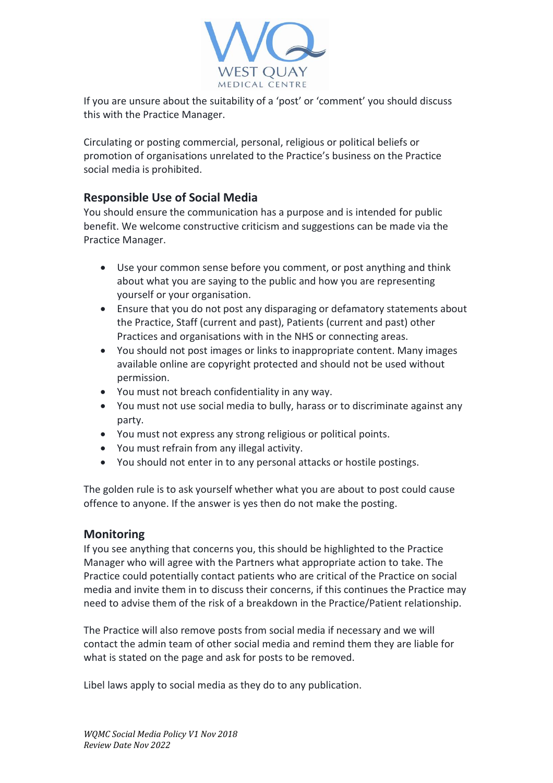

If you are unsure about the suitability of a 'post' or 'comment' you should discuss this with the Practice Manager.

Circulating or posting commercial, personal, religious or political beliefs or promotion of organisations unrelated to the Practice's business on the Practice social media is prohibited.

#### **Responsible Use of Social Media**

You should ensure the communication has a purpose and is intended for public benefit. We welcome constructive criticism and suggestions can be made via the Practice Manager.

- Use your common sense before you comment, or post anything and think about what you are saying to the public and how you are representing yourself or your organisation.
- Ensure that you do not post any disparaging or defamatory statements about the Practice, Staff (current and past), Patients (current and past) other Practices and organisations with in the NHS or connecting areas.
- You should not post images or links to inappropriate content. Many images available online are copyright protected and should not be used without permission.
- You must not breach confidentiality in any way.
- You must not use social media to bully, harass or to discriminate against any party.
- You must not express any strong religious or political points.
- You must refrain from any illegal activity.
- You should not enter in to any personal attacks or hostile postings.

The golden rule is to ask yourself whether what you are about to post could cause offence to anyone. If the answer is yes then do not make the posting.

#### **Monitoring**

If you see anything that concerns you, this should be highlighted to the Practice Manager who will agree with the Partners what appropriate action to take. The Practice could potentially contact patients who are critical of the Practice on social media and invite them in to discuss their concerns, if this continues the Practice may need to advise them of the risk of a breakdown in the Practice/Patient relationship.

The Practice will also remove posts from social media if necessary and we will contact the admin team of other social media and remind them they are liable for what is stated on the page and ask for posts to be removed.

Libel laws apply to social media as they do to any publication.